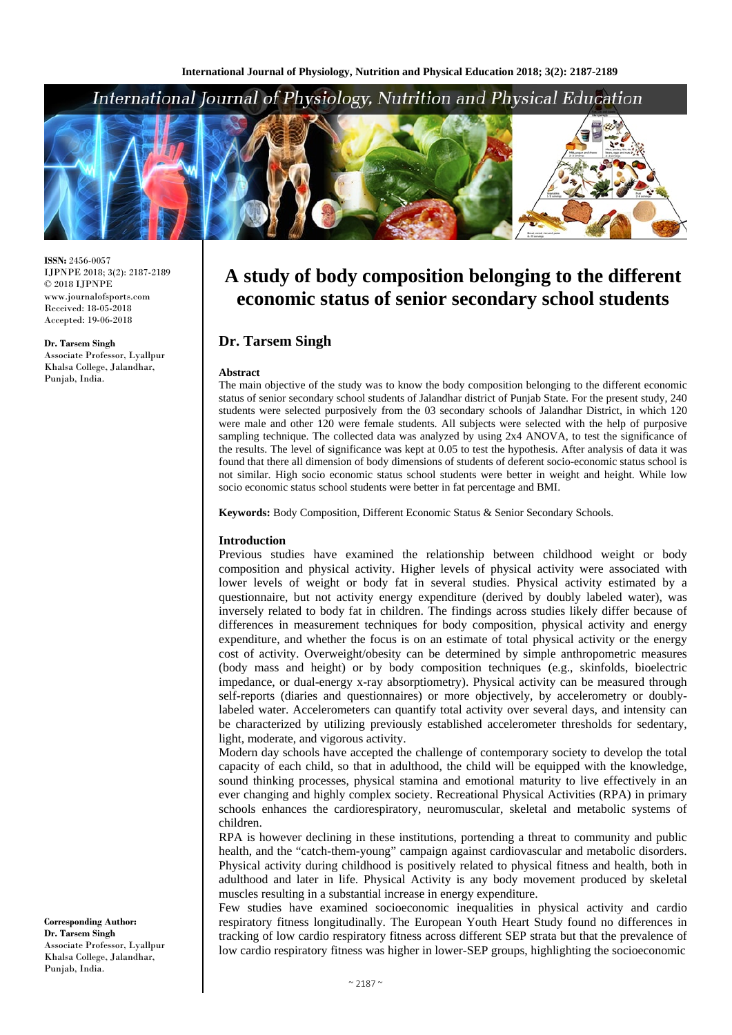# International Journal of Physiology, Nutrition and Physical Education



**ISSN:** 2456-0057 IJPNPE 2018; 3(2): 2187-2189  $\odot$  2018 IJPNPE www.journalofsports.com Received: 18-05-2018 Accepted: 19-06-2018

**Dr. Tarsem Singh** Associate Professor, Lyallpur Khalsa College, Jalandhar, Punjab, India.

**A study of body composition belonging to the different economic status of senior secondary school students**

# **Dr. Tarsem Singh**

#### **Abstract**

The main objective of the study was to know the body composition belonging to the different economic status of senior secondary school students of Jalandhar district of Punjab State. For the present study, 240 students were selected purposively from the 03 secondary schools of Jalandhar District, in which 120 were male and other 120 were female students. All subjects were selected with the help of purposive sampling technique. The collected data was analyzed by using 2x4 ANOVA, to test the significance of the results. The level of significance was kept at 0.05 to test the hypothesis. After analysis of data it was found that there all dimension of body dimensions of students of deferent socio-economic status school is not similar. High socio economic status school students were better in weight and height. While low socio economic status school students were better in fat percentage and BMI.

**Keywords:** Body Composition, Different Economic Status & Senior Secondary Schools.

#### **Introduction**

Previous studies have examined the relationship between childhood weight or body composition and physical activity. Higher levels of physical activity were associated with lower levels of weight or body fat in several studies. Physical activity estimated by a questionnaire, but not activity energy expenditure (derived by doubly labeled water), was inversely related to body fat in children. The findings across studies likely differ because of differences in measurement techniques for body composition, physical activity and energy expenditure, and whether the focus is on an estimate of total physical activity or the energy cost of activity. Overweight/obesity can be determined by simple anthropometric measures (body mass and height) or by body composition techniques (e.g., skinfolds, bioelectric impedance, or dual-energy x-ray absorptiometry). Physical activity can be measured through self-reports (diaries and questionnaires) or more objectively, by accelerometry or doublylabeled water. Accelerometers can quantify total activity over several days, and intensity can be characterized by utilizing previously established accelerometer thresholds for sedentary, light, moderate, and vigorous activity.

Modern day schools have accepted the challenge of contemporary society to develop the total capacity of each child, so that in adulthood, the child will be equipped with the knowledge, sound thinking processes, physical stamina and emotional maturity to live effectively in an ever changing and highly complex society. Recreational Physical Activities (RPA) in primary schools enhances the cardiorespiratory, neuromuscular, skeletal and metabolic systems of children.

RPA is however declining in these institutions, portending a threat to community and public health, and the "catch-them-young" campaign against cardiovascular and metabolic disorders. Physical activity during childhood is positively related to physical fitness and health, both in adulthood and later in life. Physical Activity is any body movement produced by skeletal muscles resulting in a substantial increase in energy expenditure.

Few studies have examined socioeconomic inequalities in physical activity and cardio respiratory fitness longitudinally. The European Youth Heart Study found no differences in tracking of low cardio respiratory fitness across different SEP strata but that the prevalence of low cardio respiratory fitness was higher in lower-SEP groups, highlighting the socioeconomic

**Corresponding Author: Dr. Tarsem Singh** Associate Professor, Lyallpur Khalsa College, Jalandhar, Punjab, India.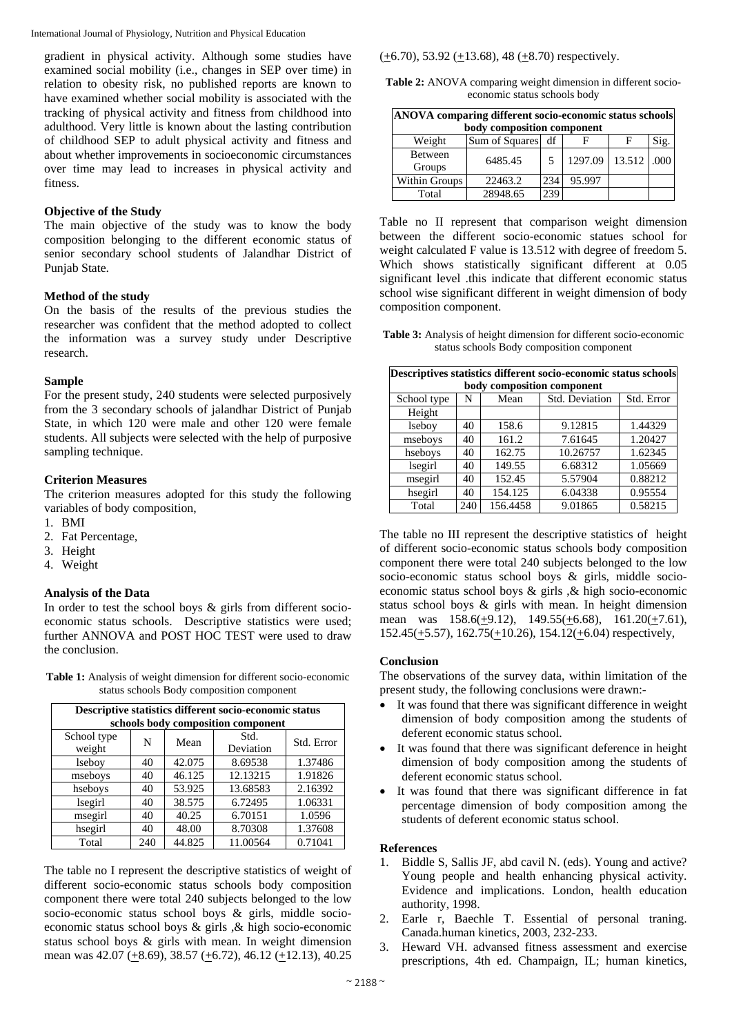International Journal of Physiology, Nutrition and Physical Education

gradient in physical activity. Although some studies have examined social mobility (i.e., changes in SEP over time) in relation to obesity risk, no published reports are known to have examined whether social mobility is associated with the tracking of physical activity and fitness from childhood into adulthood. Very little is known about the lasting contribution of childhood SEP to adult physical activity and fitness and about whether improvements in socioeconomic circumstances over time may lead to increases in physical activity and fitness.

## **Objective of the Study**

The main objective of the study was to know the body composition belonging to the different economic status of senior secondary school students of Jalandhar District of Punjab State.

## **Method of the study**

On the basis of the results of the previous studies the researcher was confident that the method adopted to collect the information was a survey study under Descriptive research.

### **Sample**

For the present study, 240 students were selected purposively from the 3 secondary schools of jalandhar District of Punjab State, in which 120 were male and other 120 were female students. All subjects were selected with the help of purposive sampling technique.

## **Criterion Measures**

The criterion measures adopted for this study the following variables of body composition,

- 1. BMI
- 2. Fat Percentage,
- 3. Height
- 4. Weight

## **Analysis of the Data**

In order to test the school boys & girls from different socioeconomic status schools. Descriptive statistics were used; further ANNOVA and POST HOC TEST were used to draw the conclusion.

| <b>Table 1:</b> Analysis of weight dimension for different socio-economic |
|---------------------------------------------------------------------------|
| status schools Body composition component                                 |

| Descriptive statistics different socio-economic status<br>schools body composition component |     |        |                   |            |  |  |  |
|----------------------------------------------------------------------------------------------|-----|--------|-------------------|------------|--|--|--|
| School type<br>weight                                                                        | N   | Mean   | Std.<br>Deviation | Std. Error |  |  |  |
| lseboy                                                                                       | 40  | 42.075 | 8.69538           | 1.37486    |  |  |  |
| mseboys                                                                                      | 40  | 46.125 | 12.13215          | 1.91826    |  |  |  |
| hseboys                                                                                      | 40  | 53.925 | 13.68583          | 2.16392    |  |  |  |
| lsegirl                                                                                      | 40  | 38.575 | 6.72495           | 1.06331    |  |  |  |
| msegirl                                                                                      | 40  | 40.25  | 6.70151           | 1.0596     |  |  |  |
| hsegirl                                                                                      | 40  | 48.00  | 8.70308           | 1.37608    |  |  |  |
| Total                                                                                        | 240 | 44.825 | 11.00564          | 0.71041    |  |  |  |

The table no I represent the descriptive statistics of weight of different socio-economic status schools body composition component there were total 240 subjects belonged to the low socio-economic status school boys & girls, middle socioeconomic status school boys & girls ,& high socio-economic status school boys & girls with mean. In weight dimension mean was  $42.07 \left(\pm 8.69\right)$ ,  $38.57 \left(\pm 6.72\right)$ ,  $46.12 \left(\pm 12.13\right)$ ,  $40.25$ 

## $(+6.70)$ , 53.92  $(+13.68)$ , 48  $(+8.70)$  respectively.

**Table 2:** ANOVA comparing weight dimension in different socioeconomic status schools body

| ANOVA comparing different socio-economic status schools |                   |     |         |               |      |  |  |  |  |
|---------------------------------------------------------|-------------------|-----|---------|---------------|------|--|--|--|--|
| body composition component                              |                   |     |         |               |      |  |  |  |  |
| Weight                                                  | Sum of Squares df |     |         | F             | Sig. |  |  |  |  |
| <b>Between</b><br>Groups                                | 6485.45           | 5   | 1297.09 | $13.512$ .000 |      |  |  |  |  |
| Within Groups                                           | 22463.2           | 234 | 95.997  |               |      |  |  |  |  |
| Total                                                   | 28948.65          | 239 |         |               |      |  |  |  |  |

Table no II represent that comparison weight dimension between the different socio-economic statues school for weight calculated F value is 13.512 with degree of freedom 5. Which shows statistically significant different at 0.05 significant level .this indicate that different economic status school wise significant different in weight dimension of body composition component.

**Table 3:** Analysis of height dimension for different socio-economic status schools Body composition component

| Descriptives statistics different socio-economic status schools |     |          |                |            |  |  |  |  |
|-----------------------------------------------------------------|-----|----------|----------------|------------|--|--|--|--|
| body composition component                                      |     |          |                |            |  |  |  |  |
| School type                                                     | N   | Mean     | Std. Deviation | Std. Error |  |  |  |  |
| Height                                                          |     |          |                |            |  |  |  |  |
| lseboy                                                          | 40  | 158.6    | 9.12815        | 1.44329    |  |  |  |  |
| mseboys                                                         | 40  | 161.2    | 7.61645        | 1.20427    |  |  |  |  |
| hseboys                                                         | 40  | 162.75   | 10.26757       | 1.62345    |  |  |  |  |
| lsegirl                                                         | 40  | 149.55   | 6.68312        | 1.05669    |  |  |  |  |
| msegirl                                                         | 40  | 152.45   | 5.57904        | 0.88212    |  |  |  |  |
| hsegirl                                                         | 40  | 154.125  | 6.04338        | 0.95554    |  |  |  |  |
| Total                                                           | 240 | 156.4458 | 9.01865        | 0.58215    |  |  |  |  |

The table no III represent the descriptive statistics of height of different socio-economic status schools body composition component there were total 240 subjects belonged to the low socio-economic status school boys & girls, middle socioeconomic status school boys & girls ,& high socio-economic status school boys & girls with mean. In height dimension mean was  $158.6(\pm 9.12)$ ,  $149.55(\pm 6.68)$ ,  $161.20(\pm 7.61)$ ,  $152.45(\pm 5.57), 162.75(\pm 10.26), 154.12(\pm 6.04)$  respectively,

### **Conclusion**

The observations of the survey data, within limitation of the present study, the following conclusions were drawn:-

- It was found that there was significant difference in weight dimension of body composition among the students of deferent economic status school.
- It was found that there was significant deference in height dimension of body composition among the students of deferent economic status school.
- It was found that there was significant difference in fat percentage dimension of body composition among the students of deferent economic status school.

### **References**

- 1. Biddle S, Sallis JF, abd cavil N. (eds). Young and active? Young people and health enhancing physical activity. Evidence and implications. London, health education authority, 1998.
- 2. Earle r, Baechle T. Essential of personal traning. Canada.human kinetics, 2003, 232-233.
- 3. Heward VH. advansed fitness assessment and exercise prescriptions, 4th ed. Champaign, IL; human kinetics,